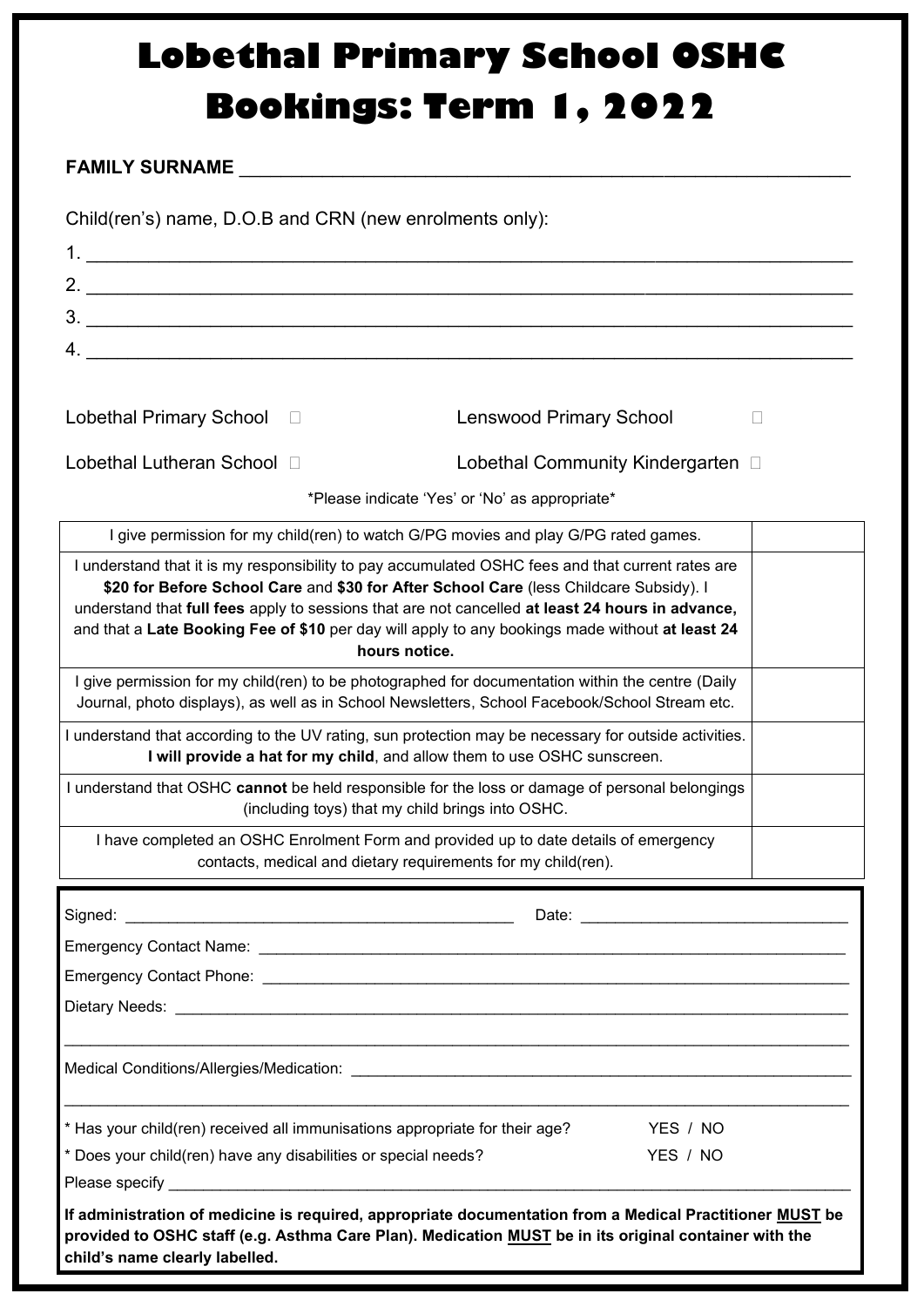## **Lobethal Primary School OSHC Bookings: Term 1, 2022**

## **FAMILY SURNAME** \_\_\_\_\_\_\_\_\_\_\_\_\_\_\_\_\_\_\_\_\_\_\_\_\_\_\_\_\_\_\_\_\_\_\_\_\_\_\_\_\_\_\_\_\_\_\_\_\_\_\_\_\_\_\_\_\_\_\_

Child(ren's) name, D.O.B and CRN (new enrolments only):

| $3.$ $\overline{\phantom{a}}$                                                                                                                                                                                                                                                                                                                                                                                       |                                   |  |  |  |  |
|---------------------------------------------------------------------------------------------------------------------------------------------------------------------------------------------------------------------------------------------------------------------------------------------------------------------------------------------------------------------------------------------------------------------|-----------------------------------|--|--|--|--|
|                                                                                                                                                                                                                                                                                                                                                                                                                     |                                   |  |  |  |  |
|                                                                                                                                                                                                                                                                                                                                                                                                                     |                                   |  |  |  |  |
| <b>Lobethal Primary School</b><br>$\Box$                                                                                                                                                                                                                                                                                                                                                                            | <b>Lenswood Primary School</b>    |  |  |  |  |
| Lobethal Lutheran School □                                                                                                                                                                                                                                                                                                                                                                                          | Lobethal Community Kindergarten □ |  |  |  |  |
| *Please indicate 'Yes' or 'No' as appropriate*                                                                                                                                                                                                                                                                                                                                                                      |                                   |  |  |  |  |
| I give permission for my child(ren) to watch G/PG movies and play G/PG rated games.                                                                                                                                                                                                                                                                                                                                 |                                   |  |  |  |  |
| I understand that it is my responsibility to pay accumulated OSHC fees and that current rates are<br>\$20 for Before School Care and \$30 for After School Care (less Childcare Subsidy). I<br>understand that full fees apply to sessions that are not cancelled at least 24 hours in advance,<br>and that a Late Booking Fee of \$10 per day will apply to any bookings made without at least 24<br>hours notice. |                                   |  |  |  |  |
| I give permission for my child(ren) to be photographed for documentation within the centre (Daily<br>Journal, photo displays), as well as in School Newsletters, School Facebook/School Stream etc.                                                                                                                                                                                                                 |                                   |  |  |  |  |
| I understand that according to the UV rating, sun protection may be necessary for outside activities.<br>I will provide a hat for my child, and allow them to use OSHC sunscreen.                                                                                                                                                                                                                                   |                                   |  |  |  |  |
| I understand that OSHC cannot be held responsible for the loss or damage of personal belongings<br>(including toys) that my child brings into OSHC.                                                                                                                                                                                                                                                                 |                                   |  |  |  |  |
| I have completed an OSHC Enrolment Form and provided up to date details of emergency<br>contacts, medical and dietary requirements for my child(ren).                                                                                                                                                                                                                                                               |                                   |  |  |  |  |
| Signed:                                                                                                                                                                                                                                                                                                                                                                                                             | Date: Date:                       |  |  |  |  |
|                                                                                                                                                                                                                                                                                                                                                                                                                     |                                   |  |  |  |  |
|                                                                                                                                                                                                                                                                                                                                                                                                                     |                                   |  |  |  |  |
|                                                                                                                                                                                                                                                                                                                                                                                                                     |                                   |  |  |  |  |
| Medical Conditions/Allergies/Medication: www.assetting.com/web/allergies/Medication:                                                                                                                                                                                                                                                                                                                                |                                   |  |  |  |  |
| * Has your child(ren) received all immunisations appropriate for their age?                                                                                                                                                                                                                                                                                                                                         | YES / NO                          |  |  |  |  |
| * Does your child(ren) have any disabilities or special needs?                                                                                                                                                                                                                                                                                                                                                      | YES / NO                          |  |  |  |  |
|                                                                                                                                                                                                                                                                                                                                                                                                                     |                                   |  |  |  |  |
| If administration of medicine is required, appropriate documentation from a Medical Practitioner MUST be<br>provided to OSHC staff (e.g. Asthma Care Plan). Medication MUST be in its original container with the<br>child's name clearly labelled.                                                                                                                                                                 |                                   |  |  |  |  |